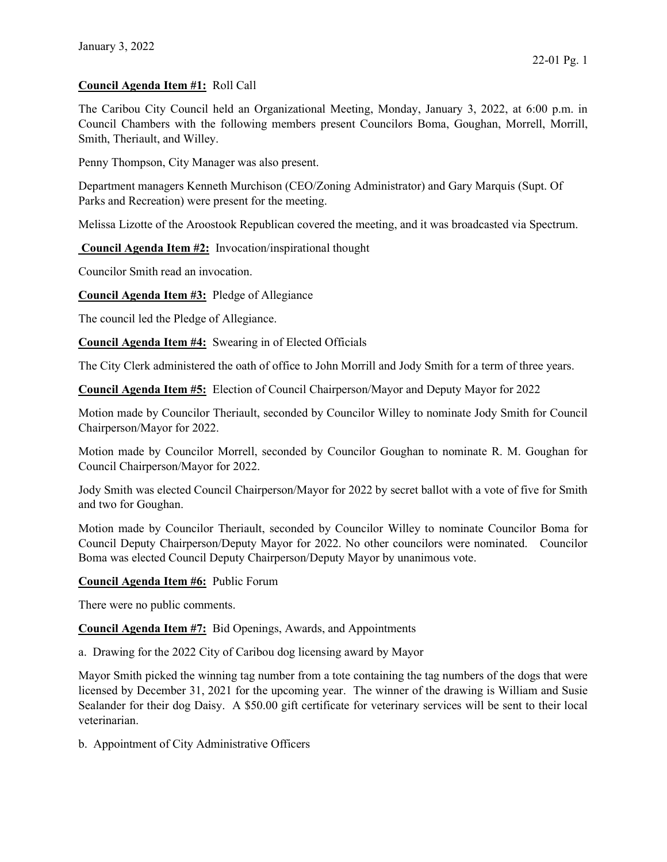## Council Agenda Item #1: Roll Call

The Caribou City Council held an Organizational Meeting, Monday, January 3, 2022, at 6:00 p.m. in Council Chambers with the following members present Councilors Boma, Goughan, Morrell, Morrill, Smith, Theriault, and Willey.

Penny Thompson, City Manager was also present.

Department managers Kenneth Murchison (CEO/Zoning Administrator) and Gary Marquis (Supt. Of Parks and Recreation) were present for the meeting.

Melissa Lizotte of the Aroostook Republican covered the meeting, and it was broadcasted via Spectrum.

Council Agenda Item #2: Invocation/inspirational thought

Councilor Smith read an invocation.

Council Agenda Item #3: Pledge of Allegiance

The council led the Pledge of Allegiance.

Council Agenda Item #4: Swearing in of Elected Officials

The City Clerk administered the oath of office to John Morrill and Jody Smith for a term of three years.

Council Agenda Item #5: Election of Council Chairperson/Mayor and Deputy Mayor for 2022

Motion made by Councilor Theriault, seconded by Councilor Willey to nominate Jody Smith for Council Chairperson/Mayor for 2022.

Motion made by Councilor Morrell, seconded by Councilor Goughan to nominate R. M. Goughan for Council Chairperson/Mayor for 2022.

Jody Smith was elected Council Chairperson/Mayor for 2022 by secret ballot with a vote of five for Smith and two for Goughan.

Motion made by Councilor Theriault, seconded by Councilor Willey to nominate Councilor Boma for Council Deputy Chairperson/Deputy Mayor for 2022. No other councilors were nominated. Councilor Boma was elected Council Deputy Chairperson/Deputy Mayor by unanimous vote.

## Council Agenda Item #6: Public Forum

There were no public comments.

Council Agenda Item #7: Bid Openings, Awards, and Appointments

a. Drawing for the 2022 City of Caribou dog licensing award by Mayor

Mayor Smith picked the winning tag number from a tote containing the tag numbers of the dogs that were licensed by December 31, 2021 for the upcoming year. The winner of the drawing is William and Susie Sealander for their dog Daisy. A \$50.00 gift certificate for veterinary services will be sent to their local veterinarian.

b. Appointment of City Administrative Officers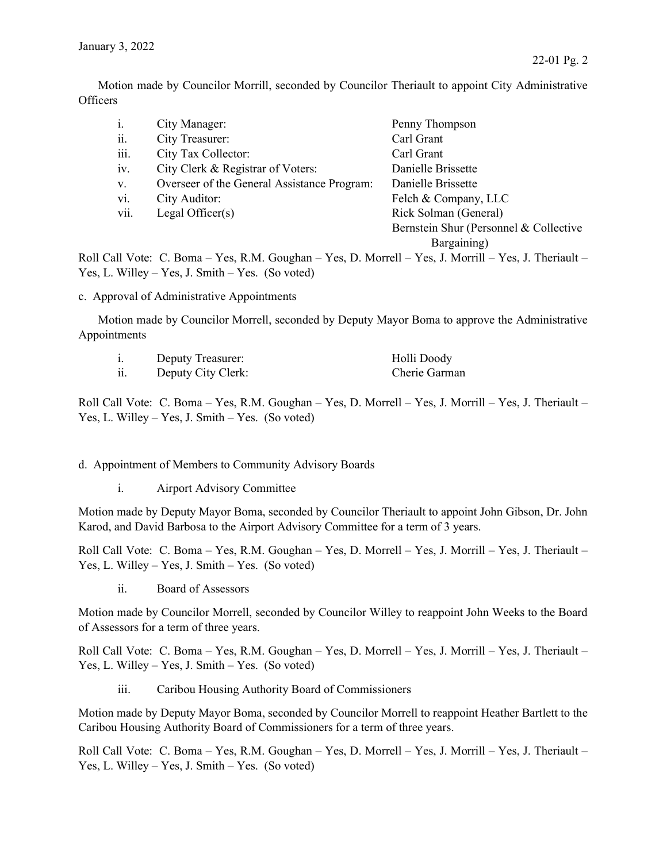Motion made by Councilor Morrill, seconded by Councilor Theriault to appoint City Administrative **Officers** 

| $\overline{1}$ .                 | City Manager:                                                          | Penny Thompson                         |  |
|----------------------------------|------------------------------------------------------------------------|----------------------------------------|--|
| ii.                              | City Treasurer:                                                        | Carl Grant                             |  |
| iii.                             | City Tax Collector:                                                    | Carl Grant                             |  |
| iv.                              | City Clerk & Registrar of Voters:                                      | Danielle Brissette                     |  |
| V.                               | Overseer of the General Assistance Program:                            | Danielle Brissette                     |  |
| vi.                              | City Auditor:                                                          | Felch & Company, LLC                   |  |
| vii.                             | Legal Officer $(s)$                                                    | Rick Solman (General)                  |  |
|                                  |                                                                        | Bernstein Shur (Personnel & Collective |  |
|                                  |                                                                        | Bargaining)                            |  |
| . <i>11 ~ 11 * *</i> · · · · · · | $\mathbf{v}$<br>$\mathbf{v}$<br>$\mathbf{r}$ $\mathbf{r}$ $\mathbf{r}$ | 11 YY YY '11 YY                        |  |

Roll Call Vote: C. Boma – Yes, R.M. Goughan – Yes, D. Morrell – Yes, J. Morrill – Yes, J. Theriault – Yes, L. Willey – Yes, J. Smith – Yes. (So voted)

## c. Approval of Administrative Appointments

 Motion made by Councilor Morrell, seconded by Deputy Mayor Boma to approve the Administrative Appointments

| Deputy Treasurer:  | Holli Doody   |
|--------------------|---------------|
| Deputy City Clerk: | Cherie Garman |

Roll Call Vote: C. Boma – Yes, R.M. Goughan – Yes, D. Morrell – Yes, J. Morrill – Yes, J. Theriault – Yes, L. Willey – Yes, J. Smith – Yes. (So voted)

d. Appointment of Members to Community Advisory Boards

i. Airport Advisory Committee

Motion made by Deputy Mayor Boma, seconded by Councilor Theriault to appoint John Gibson, Dr. John Karod, and David Barbosa to the Airport Advisory Committee for a term of 3 years.

Roll Call Vote: C. Boma – Yes, R.M. Goughan – Yes, D. Morrell – Yes, J. Morrill – Yes, J. Theriault – Yes, L. Willey – Yes, J. Smith – Yes. (So voted)

ii. Board of Assessors

Motion made by Councilor Morrell, seconded by Councilor Willey to reappoint John Weeks to the Board of Assessors for a term of three years.

Roll Call Vote: C. Boma – Yes, R.M. Goughan – Yes, D. Morrell – Yes, J. Morrill – Yes, J. Theriault – Yes, L. Willey – Yes, J. Smith – Yes. (So voted)

iii. Caribou Housing Authority Board of Commissioners

Motion made by Deputy Mayor Boma, seconded by Councilor Morrell to reappoint Heather Bartlett to the Caribou Housing Authority Board of Commissioners for a term of three years.

Roll Call Vote: C. Boma – Yes, R.M. Goughan – Yes, D. Morrell – Yes, J. Morrill – Yes, J. Theriault – Yes, L. Willey – Yes, J. Smith – Yes. (So voted)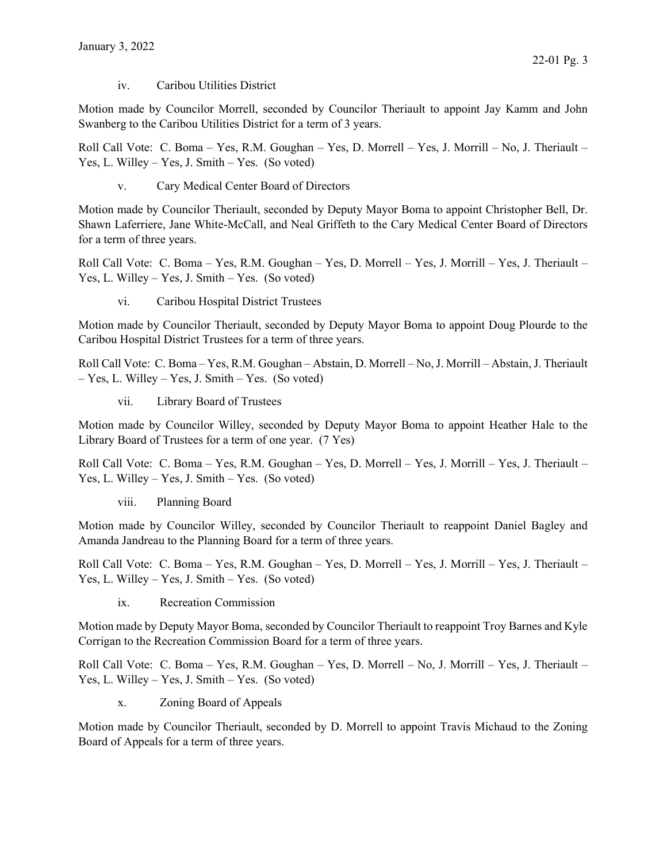iv. Caribou Utilities District

Motion made by Councilor Morrell, seconded by Councilor Theriault to appoint Jay Kamm and John Swanberg to the Caribou Utilities District for a term of 3 years.

Roll Call Vote: C. Boma – Yes, R.M. Goughan – Yes, D. Morrell – Yes, J. Morrill – No, J. Theriault – Yes, L. Willey – Yes, J. Smith – Yes. (So voted)

v. Cary Medical Center Board of Directors

Motion made by Councilor Theriault, seconded by Deputy Mayor Boma to appoint Christopher Bell, Dr. Shawn Laferriere, Jane White-McCall, and Neal Griffeth to the Cary Medical Center Board of Directors for a term of three years.

Roll Call Vote: C. Boma – Yes, R.M. Goughan – Yes, D. Morrell – Yes, J. Morrill – Yes, J. Theriault – Yes, L. Willey – Yes, J. Smith – Yes. (So voted)

vi. Caribou Hospital District Trustees

Motion made by Councilor Theriault, seconded by Deputy Mayor Boma to appoint Doug Plourde to the Caribou Hospital District Trustees for a term of three years.

Roll Call Vote: C. Boma – Yes, R.M. Goughan – Abstain, D. Morrell – No, J. Morrill – Abstain, J. Theriault – Yes, L. Willey – Yes, J. Smith – Yes. (So voted)

vii. Library Board of Trustees

Motion made by Councilor Willey, seconded by Deputy Mayor Boma to appoint Heather Hale to the Library Board of Trustees for a term of one year. (7 Yes)

Roll Call Vote: C. Boma – Yes, R.M. Goughan – Yes, D. Morrell – Yes, J. Morrill – Yes, J. Theriault – Yes, L. Willey – Yes, J. Smith – Yes. (So voted)

viii. Planning Board

Motion made by Councilor Willey, seconded by Councilor Theriault to reappoint Daniel Bagley and Amanda Jandreau to the Planning Board for a term of three years.

Roll Call Vote: C. Boma – Yes, R.M. Goughan – Yes, D. Morrell – Yes, J. Morrill – Yes, J. Theriault – Yes, L. Willey – Yes, J. Smith – Yes. (So voted)

ix. Recreation Commission

Motion made by Deputy Mayor Boma, seconded by Councilor Theriault to reappoint Troy Barnes and Kyle Corrigan to the Recreation Commission Board for a term of three years.

Roll Call Vote: C. Boma – Yes, R.M. Goughan – Yes, D. Morrell – No, J. Morrill – Yes, J. Theriault – Yes, L. Willey – Yes, J. Smith – Yes. (So voted)

x. Zoning Board of Appeals

Motion made by Councilor Theriault, seconded by D. Morrell to appoint Travis Michaud to the Zoning Board of Appeals for a term of three years.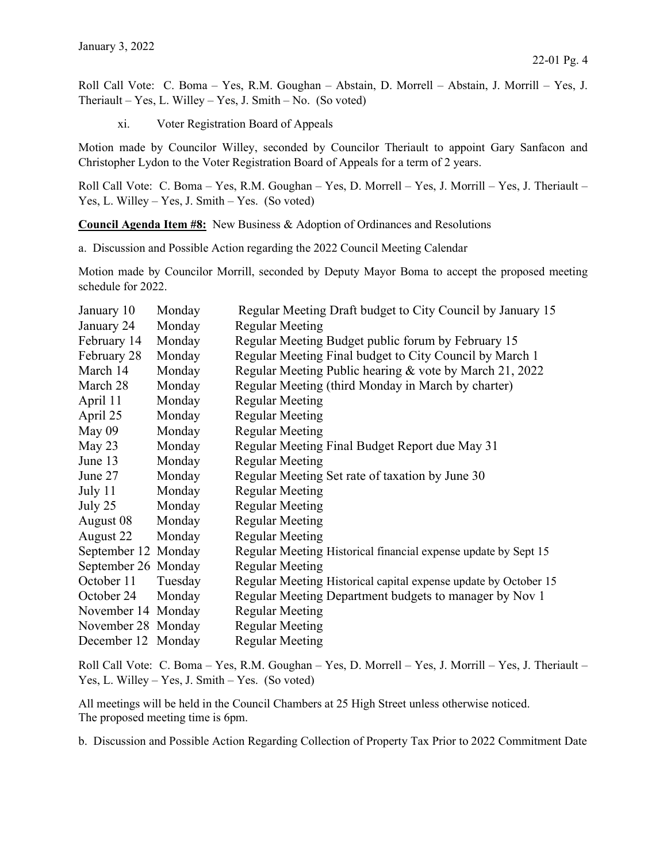22-01 Pg. 4

xi. Voter Registration Board of Appeals

Motion made by Councilor Willey, seconded by Councilor Theriault to appoint Gary Sanfacon and Christopher Lydon to the Voter Registration Board of Appeals for a term of 2 years.

Roll Call Vote: C. Boma – Yes, R.M. Goughan – Yes, D. Morrell – Yes, J. Morrill – Yes, J. Theriault – Yes, L. Willey – Yes, J. Smith – Yes. (So voted)

Council Agenda Item #8: New Business & Adoption of Ordinances and Resolutions

a. Discussion and Possible Action regarding the 2022 Council Meeting Calendar

Motion made by Councilor Morrill, seconded by Deputy Mayor Boma to accept the proposed meeting schedule for 2022.

| January 10          | Monday  | Regular Meeting Draft budget to City Council by January 15      |
|---------------------|---------|-----------------------------------------------------------------|
| January 24          | Monday  | <b>Regular Meeting</b>                                          |
| February 14         | Monday  | Regular Meeting Budget public forum by February 15              |
| February 28         | Monday  | Regular Meeting Final budget to City Council by March 1         |
| March 14            | Monday  | Regular Meeting Public hearing & vote by March 21, 2022         |
| March 28            | Monday  | Regular Meeting (third Monday in March by charter)              |
| April 11            | Monday  | <b>Regular Meeting</b>                                          |
| April 25            | Monday  | <b>Regular Meeting</b>                                          |
| May 09              | Monday  | <b>Regular Meeting</b>                                          |
| May $23$            | Monday  | Regular Meeting Final Budget Report due May 31                  |
| June 13             | Monday  | <b>Regular Meeting</b>                                          |
| June 27             | Monday  | Regular Meeting Set rate of taxation by June 30                 |
| July 11             | Monday  | <b>Regular Meeting</b>                                          |
| July 25             | Monday  | <b>Regular Meeting</b>                                          |
| August 08           | Monday  | <b>Regular Meeting</b>                                          |
| August 22           | Monday  | <b>Regular Meeting</b>                                          |
| September 12 Monday |         | Regular Meeting Historical financial expense update by Sept 15  |
| September 26 Monday |         | <b>Regular Meeting</b>                                          |
| October 11          | Tuesday | Regular Meeting Historical capital expense update by October 15 |
| October 24          | Monday  | Regular Meeting Department budgets to manager by Nov 1          |
| November 14 Monday  |         | <b>Regular Meeting</b>                                          |
| November 28 Monday  |         | <b>Regular Meeting</b>                                          |
| December 12 Monday  |         | <b>Regular Meeting</b>                                          |

Roll Call Vote: C. Boma – Yes, R.M. Goughan – Yes, D. Morrell – Yes, J. Morrill – Yes, J. Theriault – Yes, L. Willey – Yes, J. Smith – Yes. (So voted)

All meetings will be held in the Council Chambers at 25 High Street unless otherwise noticed. The proposed meeting time is 6pm.

b. Discussion and Possible Action Regarding Collection of Property Tax Prior to 2022 Commitment Date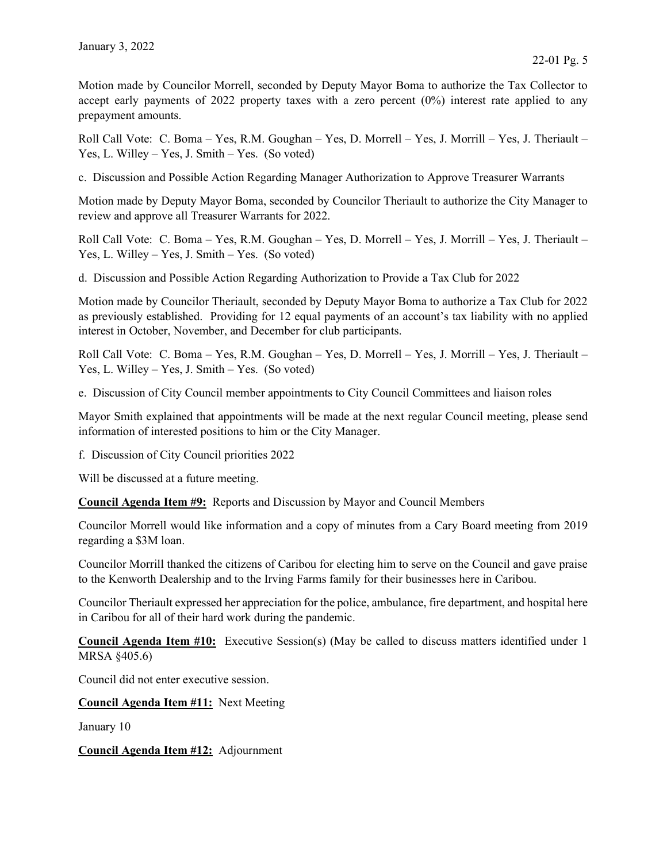Motion made by Councilor Morrell, seconded by Deputy Mayor Boma to authorize the Tax Collector to accept early payments of 2022 property taxes with a zero percent  $(0\%)$  interest rate applied to any prepayment amounts.

Roll Call Vote: C. Boma – Yes, R.M. Goughan – Yes, D. Morrell – Yes, J. Morrill – Yes, J. Theriault – Yes, L. Willey – Yes, J. Smith – Yes. (So voted)

c. Discussion and Possible Action Regarding Manager Authorization to Approve Treasurer Warrants

Motion made by Deputy Mayor Boma, seconded by Councilor Theriault to authorize the City Manager to review and approve all Treasurer Warrants for 2022.

Roll Call Vote: C. Boma – Yes, R.M. Goughan – Yes, D. Morrell – Yes, J. Morrill – Yes, J. Theriault – Yes, L. Willey – Yes, J. Smith – Yes. (So voted)

d. Discussion and Possible Action Regarding Authorization to Provide a Tax Club for 2022

Motion made by Councilor Theriault, seconded by Deputy Mayor Boma to authorize a Tax Club for 2022 as previously established. Providing for 12 equal payments of an account's tax liability with no applied interest in October, November, and December for club participants.

Roll Call Vote: C. Boma – Yes, R.M. Goughan – Yes, D. Morrell – Yes, J. Morrill – Yes, J. Theriault – Yes, L. Willey – Yes, J. Smith – Yes. (So voted)

e. Discussion of City Council member appointments to City Council Committees and liaison roles

Mayor Smith explained that appointments will be made at the next regular Council meeting, please send information of interested positions to him or the City Manager.

f. Discussion of City Council priorities 2022

Will be discussed at a future meeting.

Council Agenda Item #9: Reports and Discussion by Mayor and Council Members

Councilor Morrell would like information and a copy of minutes from a Cary Board meeting from 2019 regarding a \$3M loan.

Councilor Morrill thanked the citizens of Caribou for electing him to serve on the Council and gave praise to the Kenworth Dealership and to the Irving Farms family for their businesses here in Caribou.

Councilor Theriault expressed her appreciation for the police, ambulance, fire department, and hospital here in Caribou for all of their hard work during the pandemic.

Council Agenda Item #10: Executive Session(s) (May be called to discuss matters identified under 1 MRSA §405.6)

Council did not enter executive session.

Council Agenda Item #11: Next Meeting

January 10

Council Agenda Item #12: Adjournment